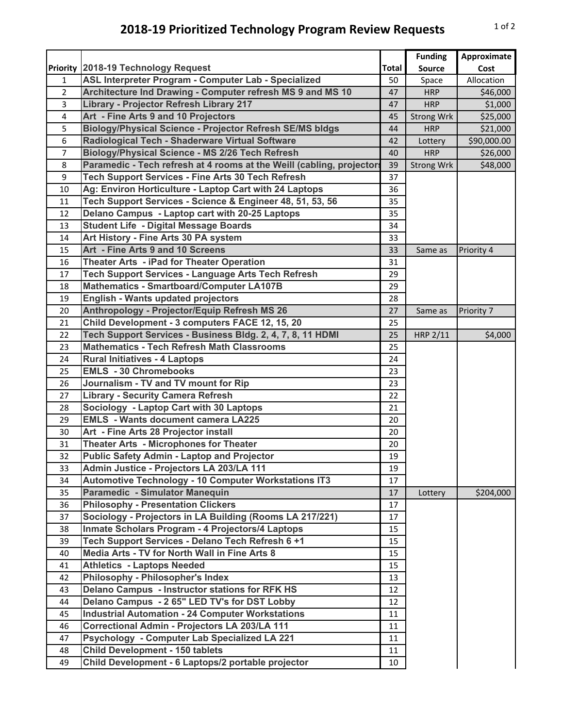## **2018-19 Prioritized Technology Program Review Requests** 10f2

|                |                                                                       |              | <b>Funding</b>    | Approximate |
|----------------|-----------------------------------------------------------------------|--------------|-------------------|-------------|
|                | Priority 2018-19 Technology Request                                   | <b>Total</b> | <b>Source</b>     | Cost        |
| 1              | ASL Interpreter Program - Computer Lab - Specialized                  | 50           | Space             | Allocation  |
| $\overline{2}$ | Architecture Ind Drawing - Computer refresh MS 9 and MS 10            | 47           | <b>HRP</b>        | \$46,000    |
| 3              | Library - Projector Refresh Library 217                               | 47           | <b>HRP</b>        | \$1,000     |
| 4              | Art - Fine Arts 9 and 10 Projectors                                   | 45           | Strong Wrk        | \$25,000    |
| 5              | Biology/Physical Science - Projector Refresh SE/MS bldgs              | 44           | <b>HRP</b>        | \$21,000    |
| 6              | Radiological Tech - Shaderware Virtual Software                       | 42           | Lottery           | \$90,000.00 |
| 7              | Biology/Physical Science - MS 2/26 Tech Refresh                       | 40           | <b>HRP</b>        | \$26,000    |
| 8              | Paramedic - Tech refresh at 4 rooms at the Weill (cabling, projectors | 39           | <b>Strong Wrk</b> | \$48,000    |
| 9              | Tech Support Services - Fine Arts 30 Tech Refresh                     | 37           |                   |             |
| 10             | Ag: Environ Horticulture - Laptop Cart with 24 Laptops                | 36           |                   |             |
| 11             | Tech Support Services - Science & Engineer 48, 51, 53, 56             | 35           |                   |             |
| 12             | Delano Campus - Laptop cart with 20-25 Laptops                        | 35           |                   |             |
| 13             | <b>Student Life - Digital Message Boards</b>                          | 34           |                   |             |
| 14             | Art History - Fine Arts 30 PA system                                  | 33           |                   |             |
| 15             | Art - Fine Arts 9 and 10 Screens                                      | 33           | Same as           | Priority 4  |
| 16             | Theater Arts - iPad for Theater Operation                             | 31           |                   |             |
| 17             | Tech Support Services - Language Arts Tech Refresh                    | 29           |                   |             |
| 18             | <b>Mathematics - Smartboard/Computer LA107B</b>                       | 29           |                   |             |
| 19             | <b>English - Wants updated projectors</b>                             | 28           |                   |             |
| 20             | Anthropology - Projector/Equip Refresh MS 26                          | 27           | Same as           | Priority 7  |
| 21             | Child Development - 3 computers FACE 12, 15, 20                       | 25           |                   |             |
| 22             | Tech Support Services - Business Bldg. 2, 4, 7, 8, 11 HDMI            | 25           | HRP 2/11          | \$4,000     |
| 23             | <b>Mathematics - Tech Refresh Math Classrooms</b>                     | 25           |                   |             |
| 24             | <b>Rural Initiatives - 4 Laptops</b>                                  | 24           |                   |             |
| 25             | <b>EMLS - 30 Chromebooks</b>                                          | 23           |                   |             |
| 26             | Journalism - TV and TV mount for Rip                                  | 23           |                   |             |
| 27             | <b>Library - Security Camera Refresh</b>                              | 22           |                   |             |
| 28             | Sociology - Laptop Cart with 30 Laptops                               | 21           |                   |             |
| 29             | <b>EMLS</b> - Wants document camera LA225                             | 20           |                   |             |
| 30             | Art - Fine Arts 28 Projector install                                  | 20           |                   |             |
| 31             | Theater Arts - Microphones for Theater                                | 20           |                   |             |
| 32             | <b>Public Safety Admin - Laptop and Projector</b>                     | 19           |                   |             |
| 33             | Admin Justice - Projectors LA 203/LA 111                              | 19           |                   |             |
| 34             | <b>Automotive Technology - 10 Computer Workstations IT3</b>           | 17           |                   |             |
| 35             | Paramedic - Simulator Manequin                                        | 17           | Lottery           | \$204,000   |
| 36             | <b>Philosophy - Presentation Clickers</b>                             | 17           |                   |             |
| 37             | Sociology - Projectors in LA Building (Rooms LA 217/221)              | 17           |                   |             |
| 38             | Inmate Scholars Program - 4 Projectors/4 Laptops                      | 15           |                   |             |
| 39             | Tech Support Services - Delano Tech Refresh 6 +1                      | 15           |                   |             |
| 40             | Media Arts - TV for North Wall in Fine Arts 8                         | 15           |                   |             |
| 41             | <b>Athletics - Laptops Needed</b>                                     | 15           |                   |             |
| 42             | Philosophy - Philosopher's Index                                      | 13           |                   |             |
| 43             | Delano Campus - Instructor stations for RFK HS                        | 12           |                   |             |
| 44             | Delano Campus - 2 65" LED TV's for DST Lobby                          | 12           |                   |             |
| 45             | <b>Industrial Automation - 24 Computer Workstations</b>               | 11           |                   |             |
| 46             | Correctional Admin - Projectors LA 203/LA 111                         | 11           |                   |             |
| 47             | <b>Psychology - Computer Lab Specialized LA 221</b>                   | 11           |                   |             |
| 48             | <b>Child Development - 150 tablets</b>                                | 11           |                   |             |
| 49             | Child Development - 6 Laptops/2 portable projector                    | 10           |                   |             |